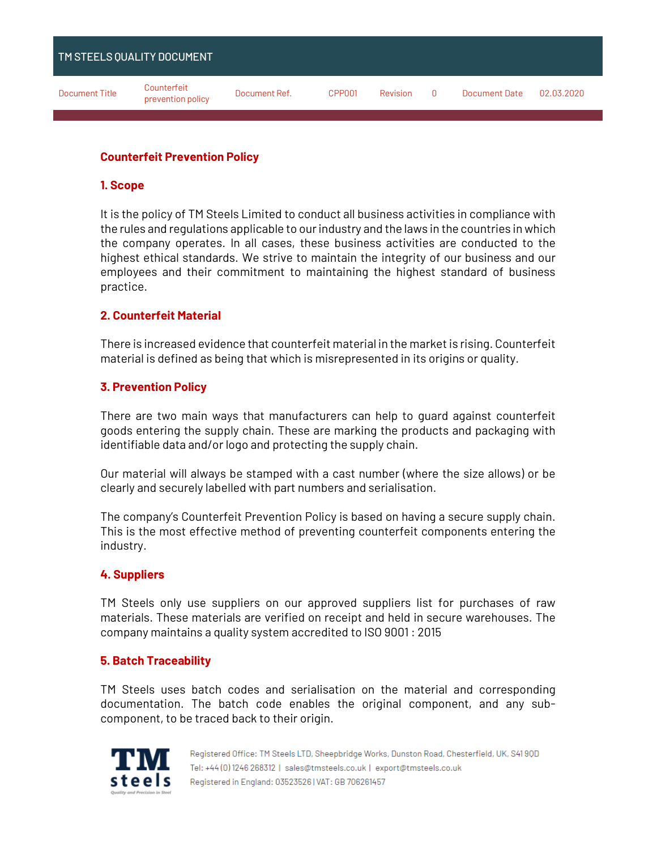| TM STEELS QUALITY DOCUMENT |                                  |               |        |          |        |                      |            |
|----------------------------|----------------------------------|---------------|--------|----------|--------|----------------------|------------|
| <b>Document Title</b>      | Counterfeit<br>prevention policy | Document Ref. | CPP001 | Revision | $\Box$ | <b>Document Date</b> | 02.03.2020 |

## **Counterfeit Prevention Policy**

### **1. Scope**

It is the policy of TM Steels Limited to conduct all business activities in compliance with the rules and regulations applicable to our industry and the laws in the countries in which the company operates. In all cases, these business activities are conducted to the highest ethical standards. We strive to maintain the integrity of our business and our employees and their commitment to maintaining the highest standard of business practice.

## **2. Counterfeit Material**

There is increased evidence that counterfeit material in the market is rising. Counterfeit material is defined as being that which is misrepresented in its origins or quality.

## **3. Prevention Policy**

There are two main ways that manufacturers can help to guard against counterfeit goods entering the supply chain. These are marking the products and packaging with identifiable data and/or logo and protecting the supply chain.

Our material will always be stamped with a cast number (where the size allows) or be clearly and securely labelled with part numbers and serialisation.

The company's Counterfeit Prevention Policy is based on having a secure supply chain. This is the most effective method of preventing counterfeit components entering the industry.

### **4. Suppliers**

TM Steels only use suppliers on our approved suppliers list for purchases of raw materials. These materials are verified on receipt and held in secure warehouses. The company maintains a quality system accredited to ISO 9001 : 2015

### **5. Batch Traceability**

TM Steels uses batch codes and serialisation on the material and corresponding documentation. The batch code enables the original component, and any subcomponent, to be traced back to their origin.